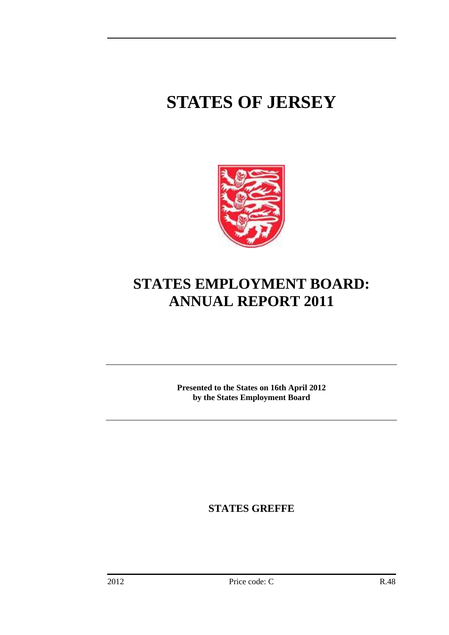# **STATES OF JERSEY**



## **STATES EMPLOYMENT BOARD: ANNUAL REPORT 2011**

**Presented to the States on 16th April 2012 by the States Employment Board** 

**STATES GREFFE**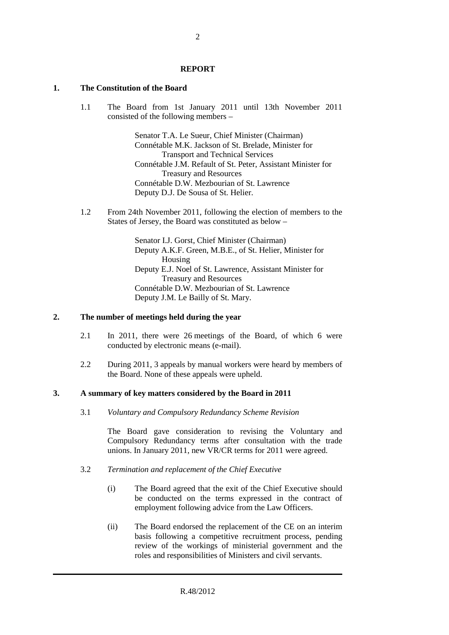#### **REPORT**

#### **1. The Constitution of the Board**

1.1 The Board from 1st January 2011 until 13th November 2011 consisted of the following members –

> Senator T.A. Le Sueur, Chief Minister (Chairman) Connétable M.K. Jackson of St. Brelade, Minister for Transport and Technical Services Connétable J.M. Refault of St. Peter, Assistant Minister for Treasury and Resources Connétable D.W. Mezbourian of St. Lawrence Deputy D.J. De Sousa of St. Helier.

1.2 From 24th November 2011, following the election of members to the States of Jersey, the Board was constituted as below –

> Senator I.J. Gorst, Chief Minister (Chairman) Deputy A.K.F. Green, M.B.E., of St. Helier, Minister for Housing Deputy E.J. Noel of St. Lawrence, Assistant Minister for Treasury and Resources Connétable D.W. Mezbourian of St. Lawrence Deputy J.M. Le Bailly of St. Mary.

#### **2. The number of meetings held during the year**

- 2.1 In 2011, there were 26 meetings of the Board, of which 6 were conducted by electronic means (e-mail).
- 2.2 During 2011, 3 appeals by manual workers were heard by members of the Board. None of these appeals were upheld.

#### **3. A summary of key matters considered by the Board in 2011**

3.1 *Voluntary and Compulsory Redundancy Scheme Revision*

The Board gave consideration to revising the Voluntary and Compulsory Redundancy terms after consultation with the trade unions. In January 2011, new VR/CR terms for 2011 were agreed.

- 3.2 *Termination and replacement of the Chief Executive*
	- (i) The Board agreed that the exit of the Chief Executive should be conducted on the terms expressed in the contract of employment following advice from the Law Officers.
	- (ii) The Board endorsed the replacement of the CE on an interim basis following a competitive recruitment process, pending review of the workings of ministerial government and the roles and responsibilities of Ministers and civil servants.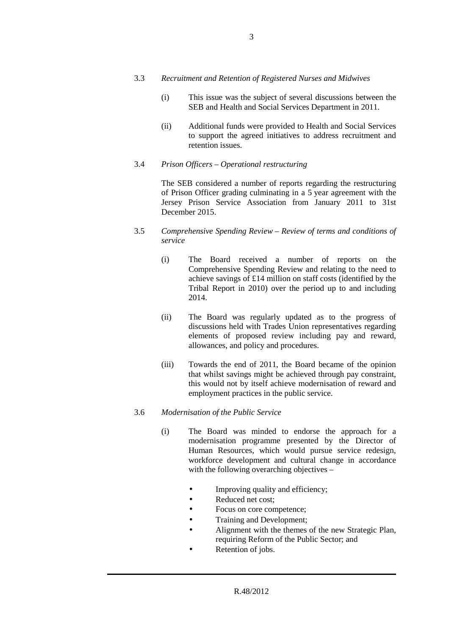- 3.3 *Recruitment and Retention of Registered Nurses and Midwives* 
	- (i) This issue was the subject of several discussions between the SEB and Health and Social Services Department in 2011.
	- (ii) Additional funds were provided to Health and Social Services to support the agreed initiatives to address recruitment and retention issues.
- 3.4 *Prison Officers Operational restructuring*

The SEB considered a number of reports regarding the restructuring of Prison Officer grading culminating in a 5 year agreement with the Jersey Prison Service Association from January 2011 to 31st December 2015.

- 3.5 *Comprehensive Spending Review Review of terms and conditions of service*
	- (i) The Board received a number of reports on the Comprehensive Spending Review and relating to the need to achieve savings of £14 million on staff costs (identified by the Tribal Report in 2010) over the period up to and including 2014.
	- (ii) The Board was regularly updated as to the progress of discussions held with Trades Union representatives regarding elements of proposed review including pay and reward, allowances, and policy and procedures.
	- (iii) Towards the end of 2011, the Board became of the opinion that whilst savings might be achieved through pay constraint, this would not by itself achieve modernisation of reward and employment practices in the public service.

#### 3.6 *Modernisation of the Public Service*

- (i) The Board was minded to endorse the approach for a modernisation programme presented by the Director of Human Resources, which would pursue service redesign, workforce development and cultural change in accordance with the following overarching objectives –
	- Improving quality and efficiency;
	- Reduced net cost;
	- Focus on core competence;
	- Training and Development;
	- Alignment with the themes of the new Strategic Plan, requiring Reform of the Public Sector; and
	- Retention of jobs.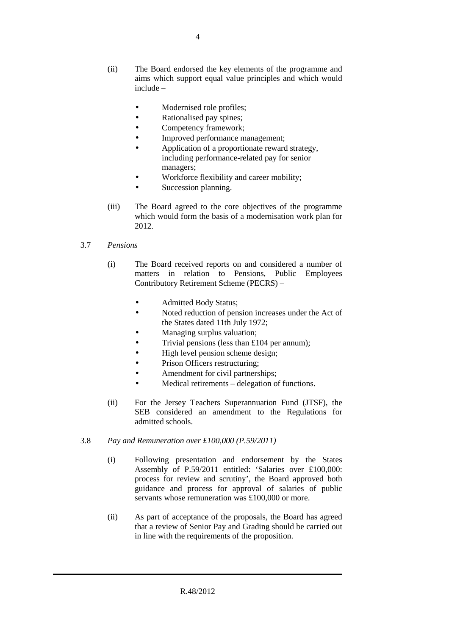4

- (ii) The Board endorsed the key elements of the programme and aims which support equal value principles and which would include –
	- Modernised role profiles;
	- Rationalised pay spines;
	- Competency framework;
	- Improved performance management;
	- Application of a proportionate reward strategy, including performance-related pay for senior managers;
	- Workforce flexibility and career mobility;
	- Succession planning.
- (iii) The Board agreed to the core objectives of the programme which would form the basis of a modernisation work plan for 2012.

## 3.7 *Pensions*

- (i) The Board received reports on and considered a number of matters in relation to Pensions, Public Employees Contributory Retirement Scheme (PECRS) –
	- Admitted Body Status;
	- Noted reduction of pension increases under the Act of the States dated 11th July 1972;
	- Managing surplus valuation;
	- Trivial pensions (less than £104 per annum);
	- High level pension scheme design;
	- Prison Officers restructuring;
	- Amendment for civil partnerships;
	- Medical retirements delegation of functions.
- (ii) For the Jersey Teachers Superannuation Fund (JTSF), the SEB considered an amendment to the Regulations for admitted schools.
- 3.8 *Pay and Remuneration over £100,000 (P.59/2011)* 
	- (i) Following presentation and endorsement by the States Assembly of P.59/2011 entitled: 'Salaries over £100,000: process for review and scrutiny', the Board approved both guidance and process for approval of salaries of public servants whose remuneration was £100,000 or more.
	- (ii) As part of acceptance of the proposals, the Board has agreed that a review of Senior Pay and Grading should be carried out in line with the requirements of the proposition.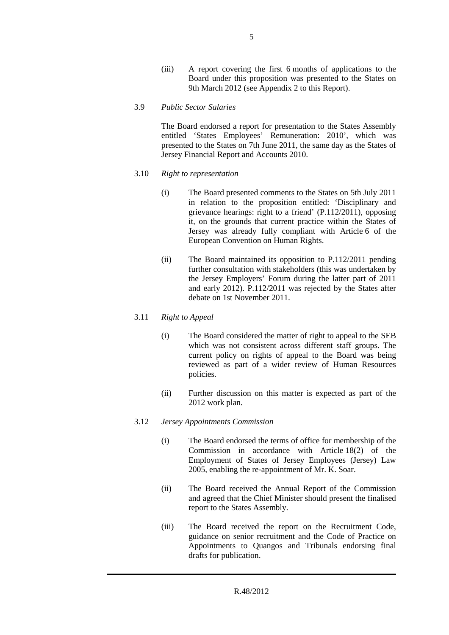- (iii) A report covering the first 6 months of applications to the Board under this proposition was presented to the States on 9th March 2012 (see Appendix 2 to this Report).
- 3.9 *Public Sector Salaries*

The Board endorsed a report for presentation to the States Assembly entitled 'States Employees' Remuneration: 2010', which was presented to the States on 7th June 2011, the same day as the States of Jersey Financial Report and Accounts 2010.

- 3.10 *Right to representation*
	- (i) The Board presented comments to the States on 5th July 2011 in relation to the proposition entitled: 'Disciplinary and grievance hearings: right to a friend' (P.112/2011), opposing it, on the grounds that current practice within the States of Jersey was already fully compliant with Article 6 of the European Convention on Human Rights.
	- (ii) The Board maintained its opposition to P.112/2011 pending further consultation with stakeholders (this was undertaken by the Jersey Employers' Forum during the latter part of 2011 and early 2012). P.112/2011 was rejected by the States after debate on 1st November 2011.
- 3.11 *Right to Appeal*
	- (i) The Board considered the matter of right to appeal to the SEB which was not consistent across different staff groups. The current policy on rights of appeal to the Board was being reviewed as part of a wider review of Human Resources policies.
	- (ii) Further discussion on this matter is expected as part of the 2012 work plan.
- 3.12 *Jersey Appointments Commission*
	- (i) The Board endorsed the terms of office for membership of the Commission in accordance with Article 18(2) of the Employment of States of Jersey Employees (Jersey) Law 2005, enabling the re-appointment of Mr. K. Soar.
	- (ii) The Board received the Annual Report of the Commission and agreed that the Chief Minister should present the finalised report to the States Assembly.
	- (iii) The Board received the report on the Recruitment Code, guidance on senior recruitment and the Code of Practice on Appointments to Quangos and Tribunals endorsing final drafts for publication.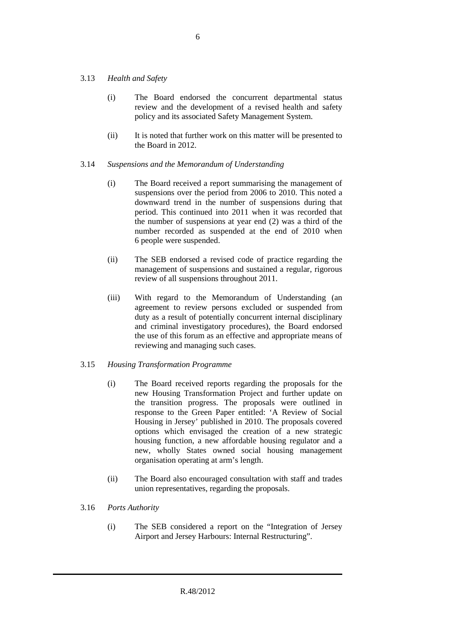#### 3.13 *Health and Safety*

- (i) The Board endorsed the concurrent departmental status review and the development of a revised health and safety policy and its associated Safety Management System.
- (ii) It is noted that further work on this matter will be presented to the Board in 2012.

#### 3.14 *Suspensions and the Memorandum of Understanding*

- (i) The Board received a report summarising the management of suspensions over the period from 2006 to 2010. This noted a downward trend in the number of suspensions during that period. This continued into 2011 when it was recorded that the number of suspensions at year end (2) was a third of the number recorded as suspended at the end of 2010 when 6 people were suspended.
- (ii) The SEB endorsed a revised code of practice regarding the management of suspensions and sustained a regular, rigorous review of all suspensions throughout 2011.
- (iii) With regard to the Memorandum of Understanding (an agreement to review persons excluded or suspended from duty as a result of potentially concurrent internal disciplinary and criminal investigatory procedures), the Board endorsed the use of this forum as an effective and appropriate means of reviewing and managing such cases.

#### 3.15 *Housing Transformation Programme*

- (i) The Board received reports regarding the proposals for the new Housing Transformation Project and further update on the transition progress. The proposals were outlined in response to the Green Paper entitled: 'A Review of Social Housing in Jersey' published in 2010. The proposals covered options which envisaged the creation of a new strategic housing function, a new affordable housing regulator and a new, wholly States owned social housing management organisation operating at arm's length.
- (ii) The Board also encouraged consultation with staff and trades union representatives, regarding the proposals.
- 3.16 *Ports Authority*
	- (i) The SEB considered a report on the "Integration of Jersey Airport and Jersey Harbours: Internal Restructuring".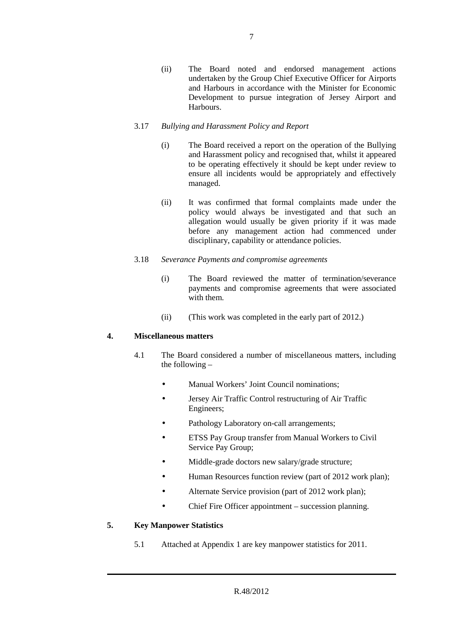(ii) The Board noted and endorsed management actions undertaken by the Group Chief Executive Officer for Airports and Harbours in accordance with the Minister for Economic Development to pursue integration of Jersey Airport and Harbours.

### 3.17 *Bullying and Harassment Policy and Report*

- (i) The Board received a report on the operation of the Bullying and Harassment policy and recognised that, whilst it appeared to be operating effectively it should be kept under review to ensure all incidents would be appropriately and effectively managed.
- (ii) It was confirmed that formal complaints made under the policy would always be investigated and that such an allegation would usually be given priority if it was made before any management action had commenced under disciplinary, capability or attendance policies.
- 3.18 *Severance Payments and compromise agreements*
	- (i) The Board reviewed the matter of termination/severance payments and compromise agreements that were associated with them.
	- (ii) (This work was completed in the early part of 2012.)

## **4. Miscellaneous matters**

- 4.1 The Board considered a number of miscellaneous matters, including the following –
	- Manual Workers' Joint Council nominations;
	- Jersey Air Traffic Control restructuring of Air Traffic Engineers;
	- Pathology Laboratory on-call arrangements;
	- ETSS Pay Group transfer from Manual Workers to Civil Service Pay Group;
	- Middle-grade doctors new salary/grade structure;
	- Human Resources function review (part of 2012 work plan);
	- Alternate Service provision (part of 2012 work plan);
	- Chief Fire Officer appointment succession planning.

## **5. Key Manpower Statistics**

5.1 Attached at Appendix 1 are key manpower statistics for 2011.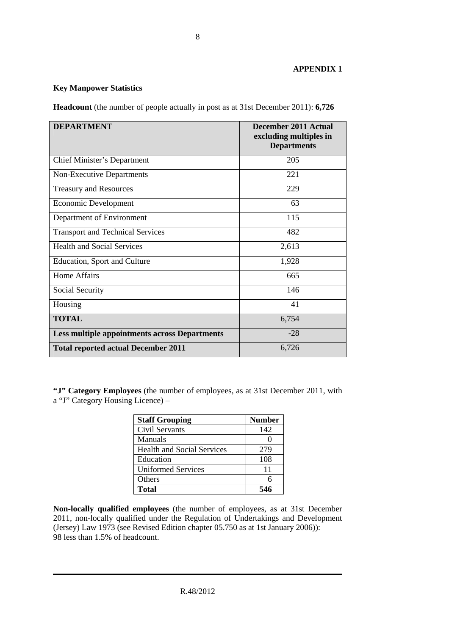### **APPENDIX 1**

#### **Key Manpower Statistics**

**Headcount** (the number of people actually in post as at 31st December 2011): **6,726** 

| <b>DEPARTMENT</b>                                    | December 2011 Actual<br>excluding multiples in<br><b>Departments</b> |
|------------------------------------------------------|----------------------------------------------------------------------|
| <b>Chief Minister's Department</b>                   | 205                                                                  |
| Non-Executive Departments                            | 221                                                                  |
| <b>Treasury and Resources</b>                        | 229                                                                  |
| Economic Development                                 | 63                                                                   |
| Department of Environment                            | 115                                                                  |
| <b>Transport and Technical Services</b>              | 482                                                                  |
| <b>Health and Social Services</b>                    | 2,613                                                                |
| Education, Sport and Culture                         | 1,928                                                                |
| Home Affairs                                         | 665                                                                  |
| Social Security                                      | 146                                                                  |
| Housing                                              | 41                                                                   |
| <b>TOTAL</b>                                         | 6,754                                                                |
| <b>Less multiple appointments across Departments</b> | $-28$                                                                |
| <b>Total reported actual December 2011</b>           | 6,726                                                                |

**"J" Category Employees** (the number of employees, as at 31st December 2011, with a "J" Category Housing Licence) –

| <b>Staff Grouping</b>             | <b>Number</b> |
|-----------------------------------|---------------|
| Civil Servants                    | 142           |
| Manuals                           |               |
| <b>Health and Social Services</b> | 279           |
| Education                         | 108           |
| <b>Uniformed Services</b>         | 11            |
| Others                            |               |
| <b>Total</b>                      | 546           |

**Non-locally qualified employees** (the number of employees, as at 31st December 2011, non-locally qualified under the Regulation of Undertakings and Development (Jersey) Law 1973 (see Revised Edition chapter 05.750 as at 1st January 2006)): 98 less than 1.5% of headcount.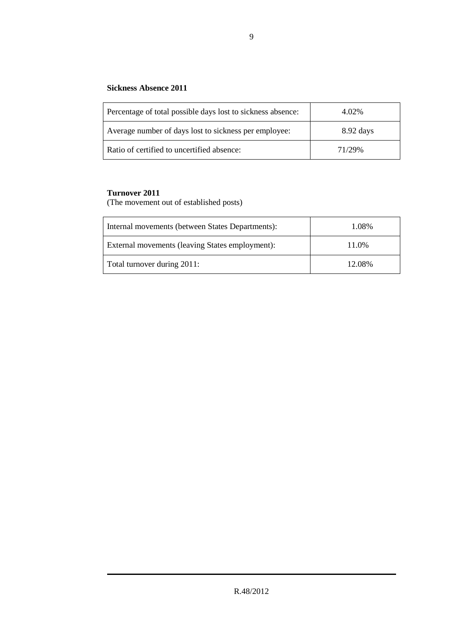## **Sickness Absence 2011**

| Percentage of total possible days lost to sickness absence: | 4.02%       |
|-------------------------------------------------------------|-------------|
| Average number of days lost to sickness per employee:       | $8.92$ days |
| Ratio of certified to uncertified absence:                  | 71/29%      |

## **Turnover 2011**

(The movement out of established posts)

| Internal movements (between States Departments): | 1.08%  |
|--------------------------------------------------|--------|
| External movements (leaving States employment):  | 11.0%  |
| Total turnover during 2011:                      | 12.08% |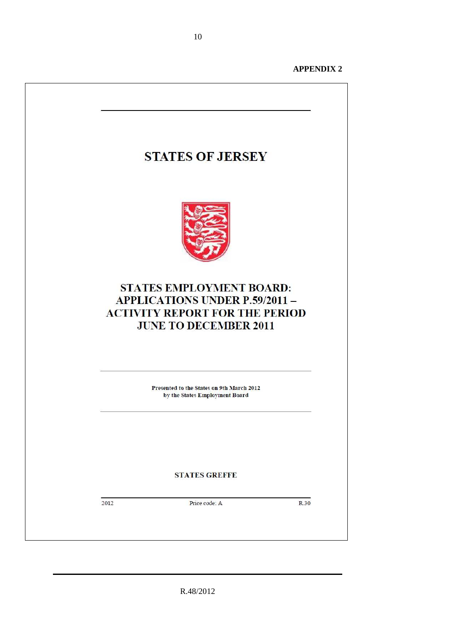**APPENDIX 2** 



R.48/2012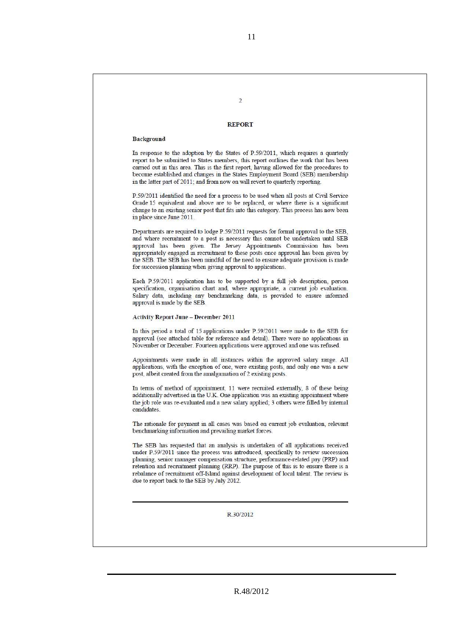#### **REPORT**

 $\mathcal{I}$ 

#### Background

In response to the adoption by the States of P.59/2011, which requires a quarterly report to be submitted to States members, this report outlines the work that has been carried out in this area. This is the first report, having allowed for the procedures to become established and changes in the States Employment Board (SEB) membership in the latter part of 2011; and from now on will revert to quarterly reporting.

P.59/2011 identified the need for a process to be used when all posts at Civil Service Grade 15 equivalent and above are to be replaced, or where there is a significant change to an existing senior post that fits into this category. This process has now been in place since June 2011.

Departments are required to lodge P.59/2011 requests for formal approval to the SEB, and where recruitment to a post is necessary this cannot be undertaken until SEB approval has been given. The Jersey Appointments Commission has been appropriately engaged in recruitment to these posts once approval has been given by the SEB. The SEB has been mindful of the need to ensure adequate provision is made for succession planning when giving approval to applications.

Each P.59/2011 application has to be supported by a full job description, person specification, organisation chart and, where appropriate, a current job evaluation. Salary data, including any benchmarking data, is provided to ensure informed approval is made by the SEB.

**Activity Report June - December 2011** 

In this period a total of 15 applications under P.59/2011 were made to the SEB for approval (see attached table for reference and detail). There were no applications in November or December. Fourteen applications were approved and one was refused.

Appointments were made in all instances within the approved salary range. All applications, with the exception of one, were existing posts, and only one was a new post, albeit created from the amalgamation of 2 existing posts.

In terms of method of appointment, 11 were recruited externally, 8 of these being additionally advertised in the U.K. One application was an existing appointment where the job role was re-evaluated and a new salary applied; 3 others were filled by internal candidates.

The rationale for payment in all cases was based on current job evaluation, relevant benchmarking information and prevailing market forces.

The SEB has requested that an analysis is undertaken of all applications received under P.59/2011 since the process was introduced, specifically to review succession planning, senior manager compensation structure, performance-related pay (PRP) and retention and recruitment planning (RRP). The purpose of this is to ensure there is a rebalance of recruitment off-Island against development of local talent. The review is due to report back to the SEB by July 2012.

R.30/2012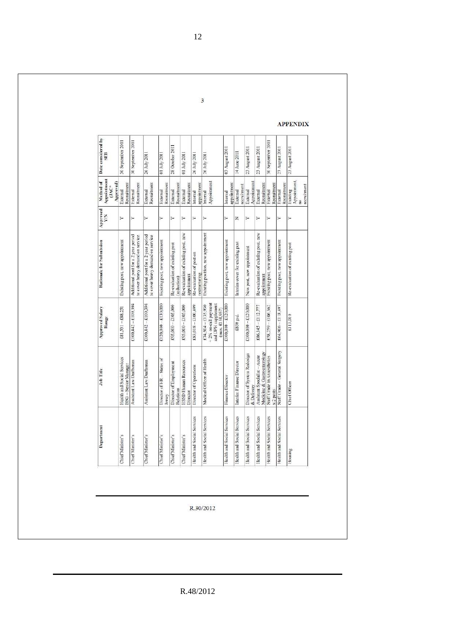| Date considered by<br>SFB                        | 30 September 2011                                         | 30 September 2011                                                       | 26 July 2011                                                            | 01 July 2011                         | 28 October 2011                              | 01 July 2011                                       | 26 July 2011                              | 26 July 2011                                                                        | 03 August 2011                 | 14 June 2011                    | 23 August 2011                            | 23 August 2011                                              | 30 September 2011                                   | 23 August 2011                 | 23 August 2011                              |
|--------------------------------------------------|-----------------------------------------------------------|-------------------------------------------------------------------------|-------------------------------------------------------------------------|--------------------------------------|----------------------------------------------|----------------------------------------------------|-------------------------------------------|-------------------------------------------------------------------------------------|--------------------------------|---------------------------------|-------------------------------------------|-------------------------------------------------------------|-----------------------------------------------------|--------------------------------|---------------------------------------------|
| Appointment<br>Method of<br>Approved)<br>$GAC^*$ | Recruitment<br>External                                   | Recruitment<br>External                                                 | Recruitment<br>External                                                 | Recruitment<br>External              | Recruitnent<br>External                      | Recruitment<br>External                            | appointment<br>Internal                   | Appointment<br>Internal                                                             | appointment<br>Internal        | recruitment<br>External         | Appointment<br>External                   | Recruitment<br>External                                     | Recruitment<br>External                             | Recruitment<br>External        | Appointment<br>recruitment<br>Existing<br>g |
| <b>Approved</b><br>Y/N                           | Υ                                                         | ↣                                                                       | ≻                                                                       |                                      | ⊁                                            | ≻                                                  | ×                                         | Υ                                                                                   | ⊁                              | z                               | ⊁                                         | ≻                                                           | Υ                                                   | ≻                              | ≻                                           |
| Rationale for Submission                         | Existing post, new appointment                            | Additional post for a 2 year period<br>to cover heavy demand on service | Additional post for a 2 year period<br>to cover heavy demand on service | Existing post, new appointment       | Re-evaluation of existing post<br>reduction) | Re-evaluation of existing post, new<br>appointment | Re-evaluation of post on<br>restructuring | Existing position, new appointment                                                  | Existing post, new appointment | Interim oover for existing post | New post, new appointment                 | Re-evaluation of existing post, new<br>appointment          | Existing post, new appointment                      | Existing post, new appointment | Re-evaluation of existing post              |
| <b>Approved Salary</b><br>Range                  | $£81,531 - £88,251$                                       | $£100.442 - £109.394$                                                   | $£100,442 - £109,394$                                                   | $£120,000 - £130,000$                | $£95,000 - £105,000$                         | $£95,000 - £105,000$                               | $£83,018 - £100,499$                      | 2% on-call payment<br>and DPH supplement<br>$£74,504 - £135,930$<br>(max. £158,957) | $£100,000 - £120,000$          | £850 p.d.                       | $£100,000 - £120,000$                     | $£86,145 - £112,777$                                        | $£58,259 - £106,362$                                | £64,906 - £118,497             | £113,010                                    |
| Job Title                                        | Health and Social Services<br><b>BSG</b> - Senior Manager | Assistant Law Draftsman                                                 | Assistant Law Draftsman                                                 | Director of HR - States of<br>Jersey | Director of Employment<br>Relations          | <b>HSSD</b> Human Resources<br>Director            | Director of Operations                    | Modical Officer of Health                                                           | Finance Director               | Interim Finance Director        | Director of System Redesign<br>& Delivery | Medicine & Gastroenterology<br>Assistant Specialist - Acute | Staff Grade in Anaesthetics<br>x <sub>2</sub> posts | Staff Grade - General Surgery  | Chief Officer                               |
| Department                                       | Chief Minister's                                          | Chief Minister's                                                        | Chief Minister's                                                        | Chief Minister's                     | Chief Minister's                             | Chief Minister's                                   | Health and Social Services                | Health and Social Services                                                          | Health and Social Services     | Health and Social Services      | Health and Social Services                | Health and Social Services                                  | Health and Social Services                          | Health and Social Services     | Housing                                     |

R.30/2012

R.48/2012